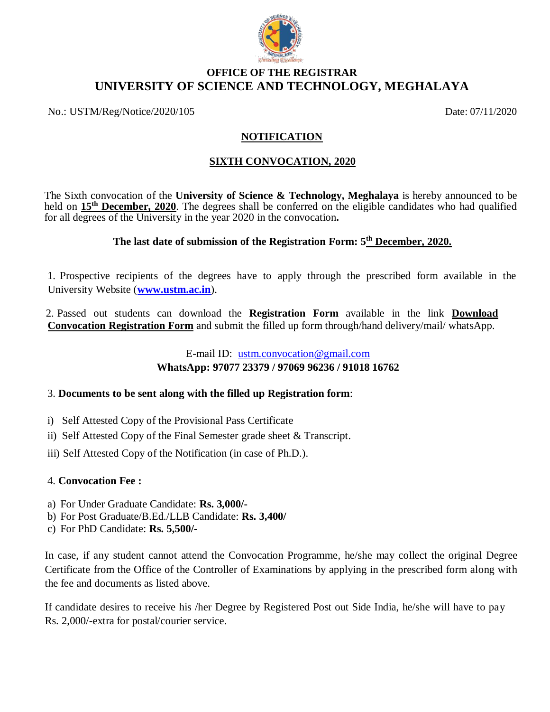

## **OFFICE OF THE REGISTRAR UNIVERSITY OF SCIENCE AND TECHNOLOGY, MEGHALAYA**

No.: USTM/Reg/Notice/2020/105 Date: 07/11/2020

## **NOTIFICATION**

## **SIXTH CONVOCATION, 2020**

The Sixth convocation of the **University of Science & Technology, Meghalaya** is hereby announced to be held on **15th December, 2020**. The degrees shall be conferred on the eligible candidates who had qualified for all degrees of the University in the year 2020 in the convocation**.**

## **The last date of submission of the Registration Form: 5 th December, 2020.**

1. Prospective recipients of the degrees have to apply through the prescribed form available in the University Website (**[www.ustm.ac.in](http://www.ustm.ac.in/)**).

2. Passed out students can download the **Registration Form** available in the link **Download Convocation Registration Form** and submit the filled up form through/hand delivery/mail/ whatsApp.

# E-mail ID: [ustm.convocation@gmail.com](mailto:ustm.convocation@gmail.com) **WhatsApp: 97077 23379 / 97069 96236 / 91018 16762**

## 3. **Documents to be sent along with the filled up Registration form**:

- i) Self Attested Copy of the Provisional Pass Certificate
- ii) Self Attested Copy of the Final Semester grade sheet & Transcript.
- iii) Self Attested Copy of the Notification (in case of Ph.D.).

## 4. **Convocation Fee :**

- a) For Under Graduate Candidate: **Rs. 3,000/-**
- b) For Post Graduate/B.Ed./LLB Candidate: **Rs. 3,400/**
- c) For PhD Candidate: **Rs. 5,500/-**

In case, if any student cannot attend the Convocation Programme, he/she may collect the original Degree Certificate from the Office of the Controller of Examinations by applying in the prescribed form along with the fee and documents as listed above.

If candidate desires to receive his /her Degree by Registered Post out Side India, he/she will have to pay Rs. 2,000/-extra for postal/courier service.